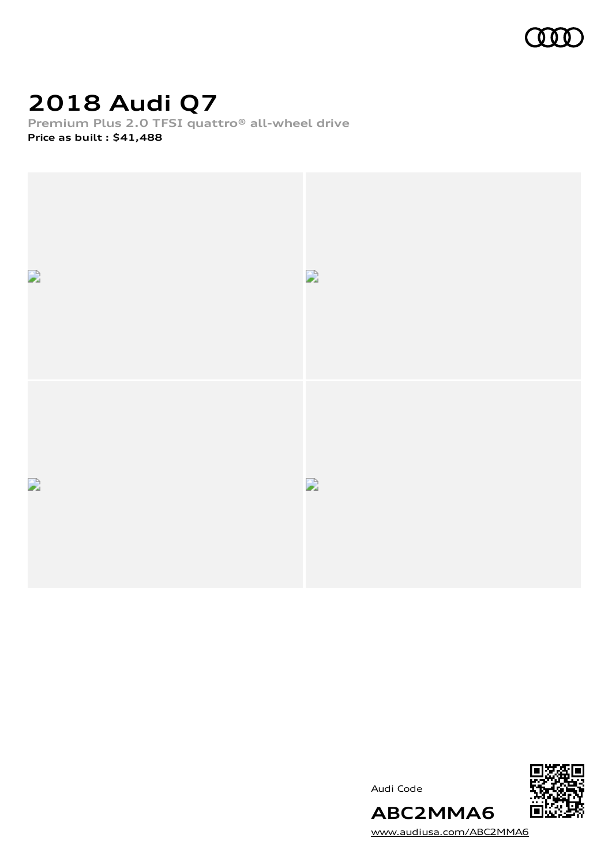

## **2018 Audi Q7**

**Premium Plus 2.0 TFSI quattro® all-wheel drive**

**Price as built [:](#page-11-0) \$41,488**







[www.audiusa.com/ABC2MMA6](https://www.audiusa.com/ABC2MMA6)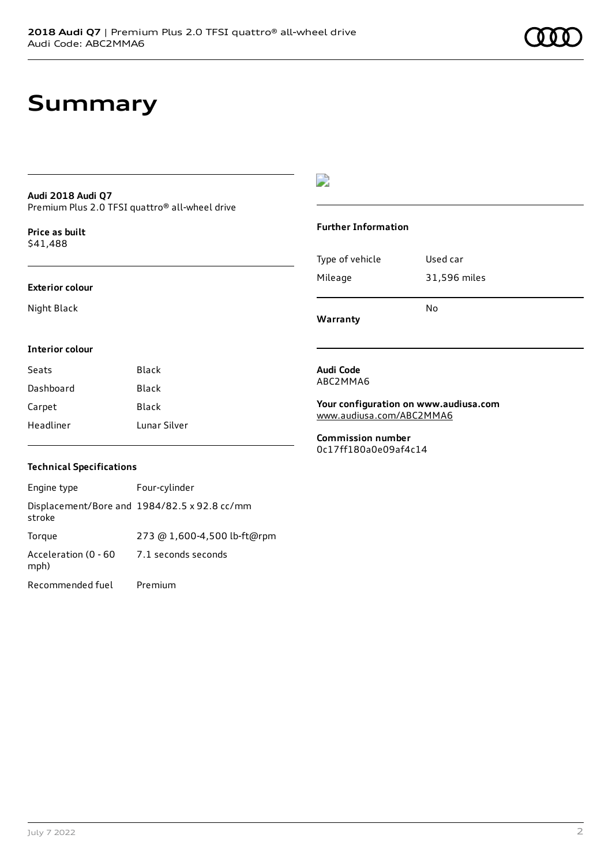### **Summary**

### **Audi 2018 Audi Q7** Premium Plus 2.0 TFSI quattro® all-wheel drive

**Price as buil[t](#page-11-0)** \$41,488

#### **Exterior colour**

Night Black

### $\overline{\phantom{a}}$

#### **Further Information**

|                 | N٥           |
|-----------------|--------------|
| Mileage         | 31,596 miles |
| Type of vehicle | Used car     |

**Warranty**

#### **Interior colour**

| Seats     | Black        |
|-----------|--------------|
| Dashboard | Black        |
| Carpet    | Black        |
| Headliner | Lunar Silver |

#### **Audi Code** ABC2MMA6

**Your configuration on www.audiusa.com** [www.audiusa.com/ABC2MMA6](https://www.audiusa.com/ABC2MMA6)

**Commission number** 0c17ff180a0e09af4c14

### **Technical Specifications**

| Engine type                  | Four-cylinder                                |
|------------------------------|----------------------------------------------|
| stroke                       | Displacement/Bore and 1984/82.5 x 92.8 cc/mm |
| Torque                       | 273 @ 1,600-4,500 lb-ft@rpm                  |
| Acceleration (0 - 60<br>mph) | 7.1 seconds seconds                          |
| Recommended fuel             | Premium                                      |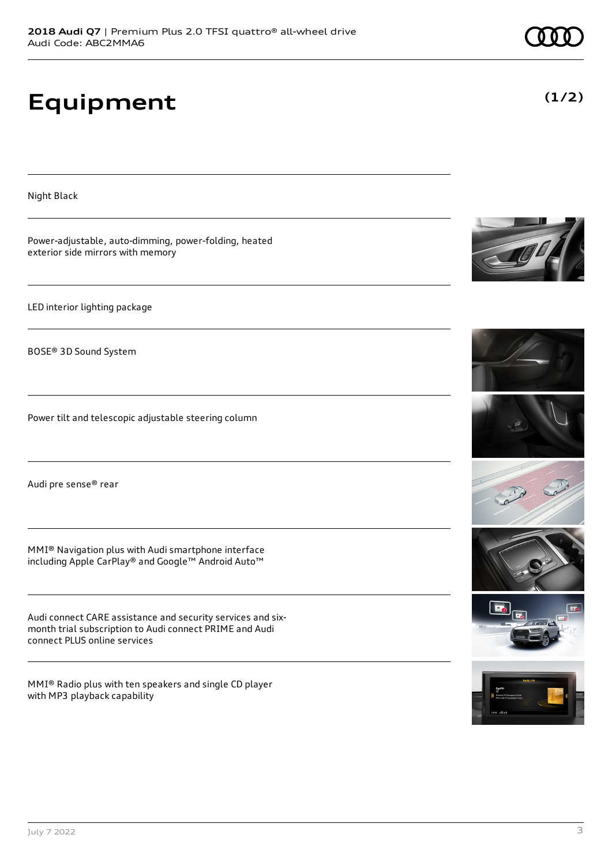# **Equipment**

exterior side mirrors with memory

LED interior lighting package

BOSE® 3D Sound System

Night Black

Audi pre sense® rear

MMI® Navigation plus with Audi smartphone interface including Apple CarPlay® and Google™ Android Auto™

Power tilt and telescopic adjustable steering column

Power-adjustable, auto-dimming, power-folding, heated

Audi connect CARE assistance and security services and sixmonth trial subscription to Audi connect PRIME and Audi connect PLUS online services

MMI® Radio plus with ten speakers and single CD player with MP3 playback capability

















**(1/2)**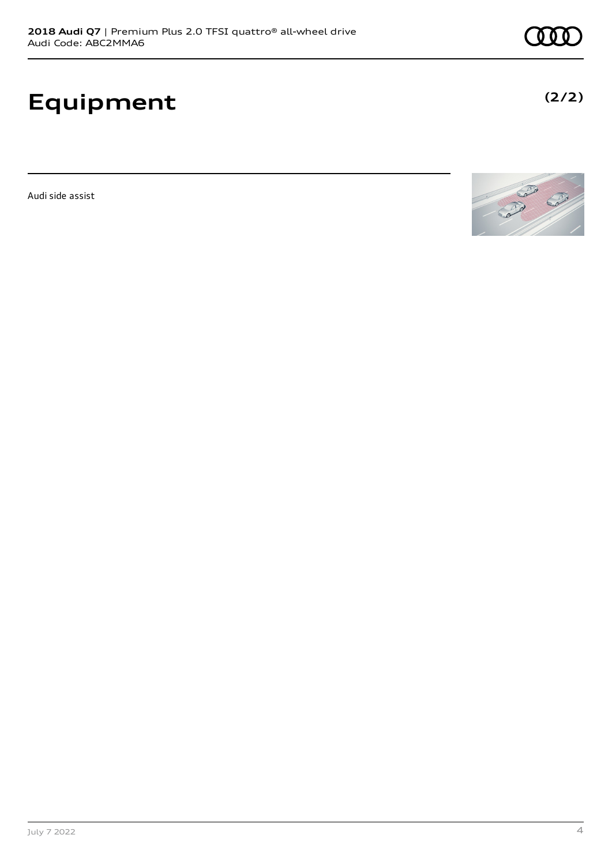# **Equipment**

Audi side assist



**(2/2)**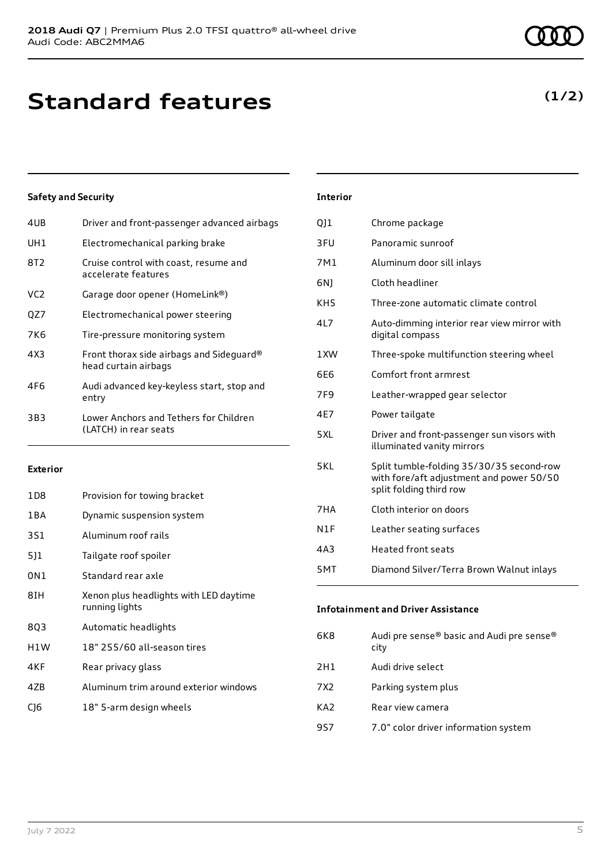## **Standard features**

### **Safety and Security**

| 4UB             | Driver and front-passenger advanced airbags                      |
|-----------------|------------------------------------------------------------------|
| UH1             | Electromechanical parking brake                                  |
| 8T2             | Cruise control with coast, resume and<br>accelerate features     |
| VC <sub>2</sub> | Garage door opener (HomeLink®)                                   |
| QZ7             | Electromechanical power steering                                 |
| 7K6             | Tire-pressure monitoring system                                  |
| 4X3             | Front thorax side airbags and Sideguard®<br>head curtain airbags |
| 4F6             | Audi advanced key-keyless start, stop and<br>entry               |
| 3B3             | Lower Anchors and Tethers for Children<br>(LATCH) in rear seats  |

#### **Exterior**

| 1D <sub>8</sub> | Provision for towing bracket                             |
|-----------------|----------------------------------------------------------|
| 1 B A           | Dynamic suspension system                                |
| 3S1             | Aluminum roof rails                                      |
| 5]1             | Tailgate roof spoiler                                    |
| 0N1             | Standard rear axle                                       |
| 8IH             | Xenon plus headlights with LED daytime<br>running lights |
| 803             | Automatic headlights                                     |
| H1W             | 18" 255/60 all-season tires                              |
| 4KF             | Rear privacy glass                                       |
| 47B             | Aluminum trim around exterior windows                    |
| C16             | 18" 5-arm design wheels                                  |

### **Interior**

| Q11             | Chrome package                                                                                                  |
|-----------------|-----------------------------------------------------------------------------------------------------------------|
| 3FU             | Panoramic sunroof                                                                                               |
| 7M1             | Aluminum door sill inlays                                                                                       |
| 6N)             | Cloth headliner                                                                                                 |
| KH <sub>5</sub> | Three-zone automatic climate control                                                                            |
| 417             | Auto-dimming interior rear view mirror with<br>digital compass                                                  |
| 1XW             | Three-spoke multifunction steering wheel                                                                        |
| 6F6             | Comfort front armrest                                                                                           |
| 7F9             | Leather-wrapped gear selector                                                                                   |
| 4F7             | Power tailgate                                                                                                  |
| 5 XI            | Driver and front-passenger sun visors with<br>illuminated vanity mirrors                                        |
| 5KL             | Split tumble-folding 35/30/35 second-row<br>with fore/aft adjustment and power 50/50<br>split folding third row |
| 7HA             | Cloth interior on doors                                                                                         |
| N1F             | Leather seating surfaces                                                                                        |
| 4A3             | <b>Heated front seats</b>                                                                                       |
| 5MT             | Diamond Silver/Terra Brown Walnut inlays                                                                        |

### **Infotainment and Driver Assistance**

| 6K8  | Audi pre sense® basic and Audi pre sense®<br>city |
|------|---------------------------------------------------|
| 2H1  | Audi drive select                                 |
| 7X2. | Parking system plus                               |
| KA2  | Rear view camera                                  |
| 9S7  | 7.0" color driver information system              |

### **(1/2)**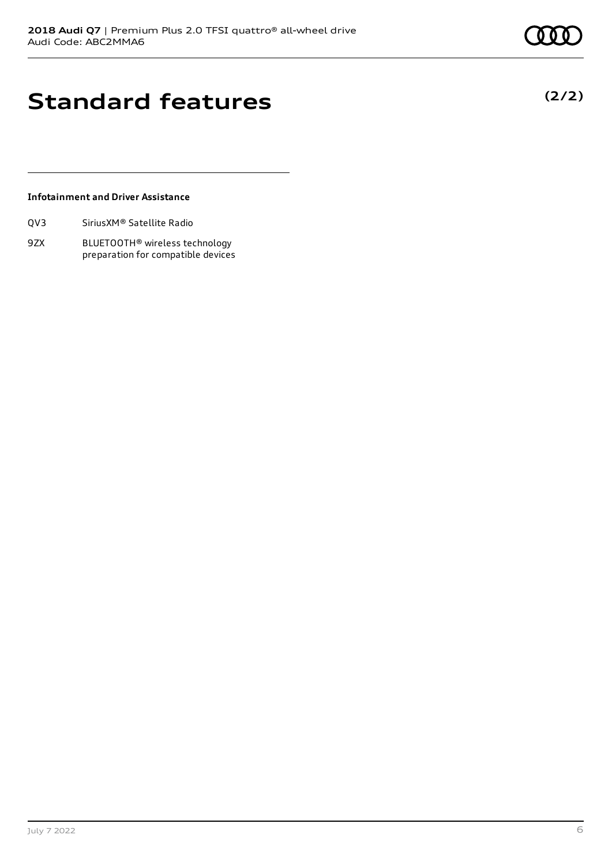### **Standard features**

### **Infotainment and Driver Assistance**

| Sirius XM <sup>®</sup> Satellite Radio<br>QV3 |
|-----------------------------------------------|
|-----------------------------------------------|

9ZX BLUETOOTH® wireless technology preparation for compatible devices **(2/2)**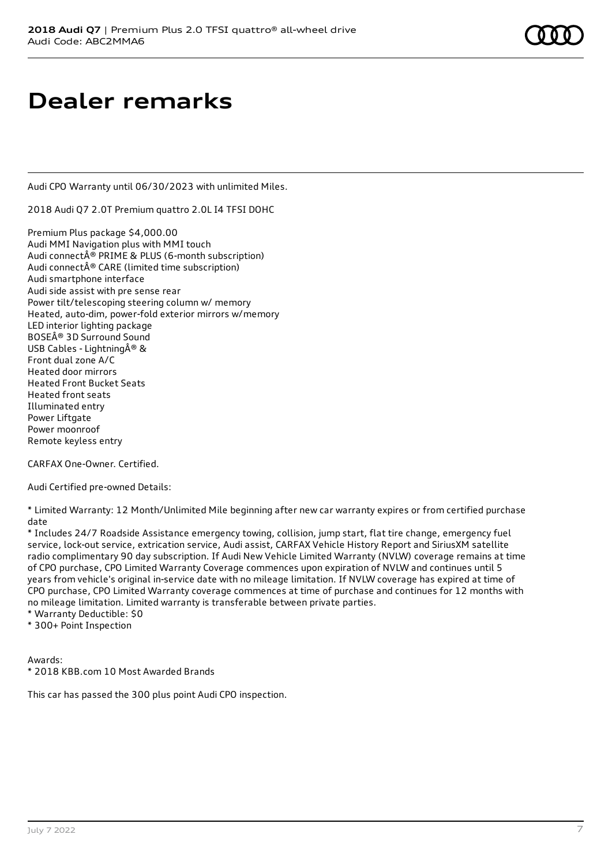### **Dealer remarks**

Audi CPO Warranty until 06/30/2023 with unlimited Miles.

2018 Audi Q7 2.0T Premium quattro 2.0L I4 TFSI DOHC

Premium Plus package \$4,000.00 Audi MMI Navigation plus with MMI touch Audi connect® PRIME & PLUS (6-month subscription) Audi connect® CARE (limited time subscription) Audi smartphone interface Audi side assist with pre sense rear Power tilt/telescoping steering column w/ memory Heated, auto-dim, power-fold exterior mirrors w/memory LED interior lighting package BOSE® 3D Surround Sound USB Cables - Lightning  $\hat{A}^{\circledR}$  & Front dual zone A/C Heated door mirrors Heated Front Bucket Seats Heated front seats Illuminated entry Power Liftgate Power moonroof Remote keyless entry

CARFAX One-Owner. Certified.

Audi Certified pre-owned Details:

\* Limited Warranty: 12 Month/Unlimited Mile beginning after new car warranty expires or from certified purchase date

\* Includes 24/7 Roadside Assistance emergency towing, collision, jump start, flat tire change, emergency fuel service, lock-out service, extrication service, Audi assist, CARFAX Vehicle History Report and SiriusXM satellite radio complimentary 90 day subscription. If Audi New Vehicle Limited Warranty (NVLW) coverage remains at time of CPO purchase, CPO Limited Warranty Coverage commences upon expiration of NVLW and continues until 5 years from vehicle's original in-service date with no mileage limitation. If NVLW coverage has expired at time of CPO purchase, CPO Limited Warranty coverage commences at time of purchase and continues for 12 months with no mileage limitation. Limited warranty is transferable between private parties.

\* Warranty Deductible: \$0

\* 300+ Point Inspection

Awards: \* 2018 KBB.com 10 Most Awarded Brands

This car has passed the 300 plus point Audi CPO inspection.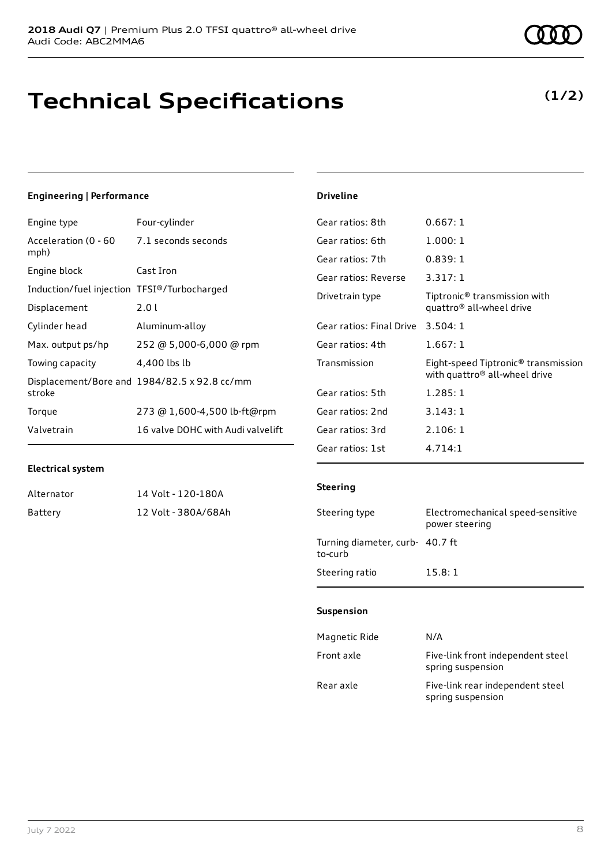### **Technical Specifications**

### **(1/2)**

### **Engineering | Performance**

| Engine type                                 | Four-cylinder                                |
|---------------------------------------------|----------------------------------------------|
| Acceleration (0 - 60<br>mph)                | 7.1 seconds seconds                          |
| Engine block                                | Cast Iron                                    |
| Induction/fuel injection TFSI®/Turbocharged |                                              |
| Displacement                                | 2.0 L                                        |
| Cylinder head                               | Aluminum-alloy                               |
| Max. output ps/hp                           | 252 @ 5,000-6,000 @ rpm                      |
| Towing capacity                             | 4,400 lbs lb                                 |
| stroke                                      | Displacement/Bore and 1984/82.5 x 92.8 cc/mm |
| Torque                                      | 273 @ 1,600-4,500 lb-ft@rpm                  |
| Valvetrain                                  | 16 valve DOHC with Audi valvelift            |

#### **Driveline**

| Gear ratios: 8th         | 0.667:1                                                                                      |
|--------------------------|----------------------------------------------------------------------------------------------|
| Gear ratios: 6th         | 1.000:1                                                                                      |
| Gear ratios: 7th         | 0.839:1                                                                                      |
| Gear ratios: Reverse     | 3.317:1                                                                                      |
| Drivetrain type          | Tiptronic <sup>®</sup> transmission with<br>quattro <sup>®</sup> all-wheel drive             |
| Gear ratios: Final Drive | 3.504:1                                                                                      |
| Gear ratios: 4th         | 1.667: 1                                                                                     |
| Transmission             | Eight-speed Tiptronic <sup>®</sup> transmission<br>with quattro <sup>®</sup> all-wheel drive |
| Gear ratios: 5th         | 1.285:1                                                                                      |
| Gear ratios: 2nd         | 3.143:1                                                                                      |
| Gear ratios: 3rd         | 2.106:1                                                                                      |
| Gear ratios: 1st         | 4.714:1                                                                                      |

### **Electrical system**

| Alternator | 14 Volt - 120-180A  |
|------------|---------------------|
| Battery    | 12 Volt - 380A/68Ah |

#### **Steering**

| Steering type                              | Electromechanical speed-sensitive<br>power steering |
|--------------------------------------------|-----------------------------------------------------|
| Turning diameter, curb- 40.7 ft<br>to-curb |                                                     |
| Steering ratio                             | 15.8:1                                              |

#### **Suspension**

| Magnetic Ride | N/A                                                    |
|---------------|--------------------------------------------------------|
| Front axle    | Five-link front independent steel<br>spring suspension |
| Rear axle     | Five-link rear independent steel<br>spring suspension  |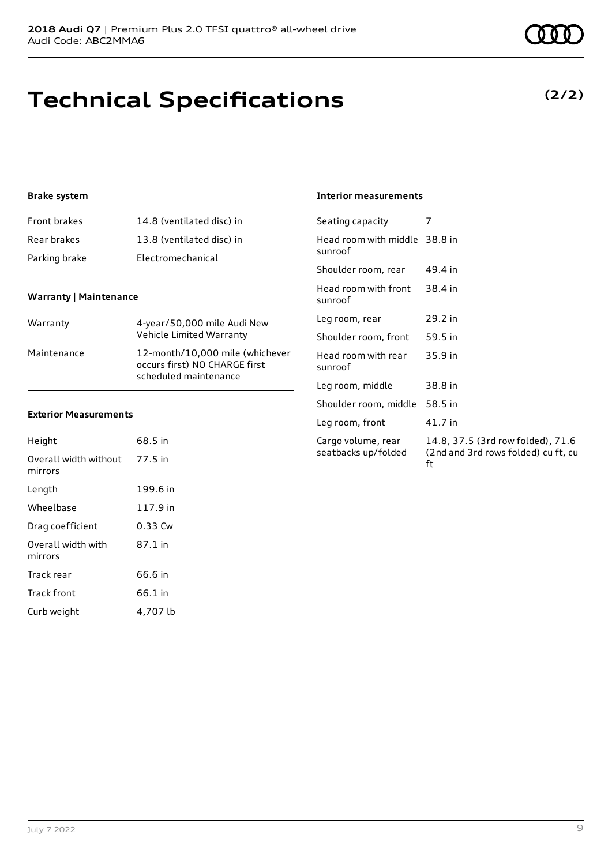# **Technical Specifications**

### **Brake system**

| Front brakes  | 14.8 (ventilated disc) in |
|---------------|---------------------------|
| Rear brakes   | 13.8 (ventilated disc) in |
| Parking brake | Electromechanical         |

### **Warranty | Maintenance**

| Warranty    | 4-year/50,000 mile Audi New<br>Vehicle Limited Warranty                                   |
|-------------|-------------------------------------------------------------------------------------------|
| Maintenance | 12-month/10,000 mile (whichever<br>occurs first) NO CHARGE first<br>scheduled maintenance |

### **Exterior Measurements**

| Height                           | 68.5 in  |
|----------------------------------|----------|
| Overall width without<br>mirrors | 77.5 in  |
| Length                           | 199.6 in |
| Wheelbase                        | 117.9 in |
| Drag coefficient                 | 0.33 Cw  |
| Overall width with<br>mirrors    | 87.1 in  |
| Track rear                       | 66.6 in  |
| Track front                      | 66.1 in  |
| Curb weight                      | 4,707 lb |

|  | <b>Interior measurements</b> |
|--|------------------------------|
|--|------------------------------|

| Seating capacity                          | 7                                                                              |
|-------------------------------------------|--------------------------------------------------------------------------------|
| Head room with middle 38.8 in<br>sunroof  |                                                                                |
| Shoulder room, rear                       | 49.4 in                                                                        |
| Head room with front<br>sunroof           | 38.4 in                                                                        |
| Leg room, rear                            | 29.2 in                                                                        |
| Shoulder room, front                      | 59.5 in                                                                        |
| Head room with rear<br>sunroof            | 35.9 in                                                                        |
| Leg room, middle                          | 38.8 in                                                                        |
| Shoulder room, middle                     | 58.5 in                                                                        |
| Leg room, front                           | 41.7 in                                                                        |
| Cargo volume, rear<br>seatbacks up/folded | 14.8, 37.5 (3rd row folded), 71.6<br>(2nd and 3rd rows folded) cu ft, cu<br>ft |

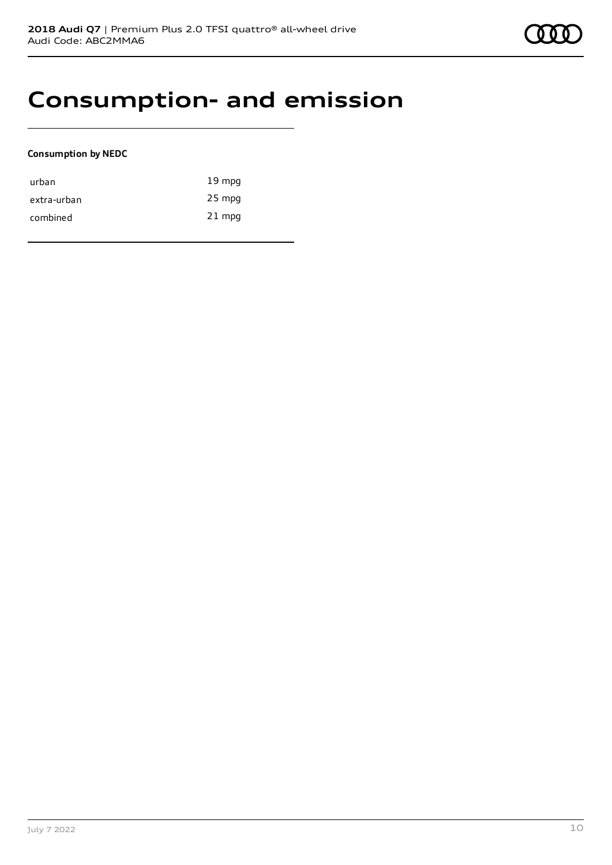### **Consumption- and emission**

### **Consumption by NEDC**

| urban       | $19 \text{ mpg}$ |
|-------------|------------------|
| extra-urban | $25$ mpg         |
| combined    | $21$ mpg         |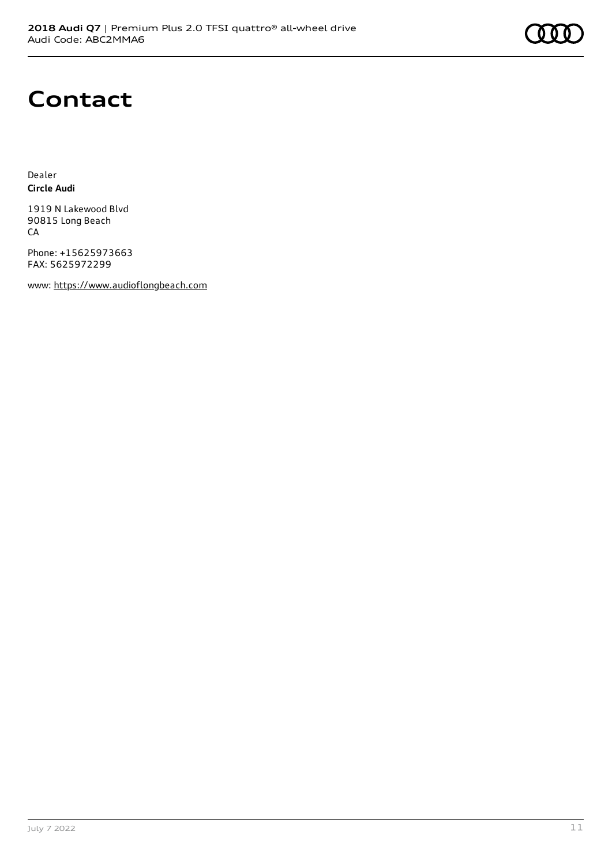

### **Contact**

Dealer **Circle Audi**

1919 N Lakewood Blvd 90815 Long Beach CA

Phone: +15625973663 FAX: 5625972299

www: [https://www.audioflongbeach.com](https://www.audioflongbeach.com/)